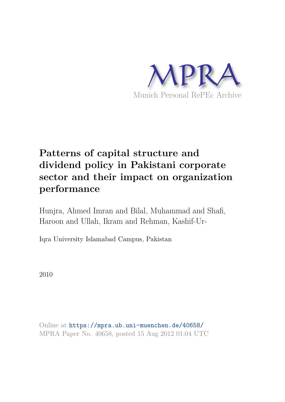

# **Patterns of capital structure and dividend policy in Pakistani corporate sector and their impact on organization performance**

Hunjra, Ahmed Imran and Bilal, Muhammad and Shafi, Haroon and Ullah, Ikram and Rehman, Kashif-Ur-

Iqra University Islamabad Campus, Pakistan

2010

Online at https://mpra.ub.uni-muenchen.de/40658/ MPRA Paper No. 40658, posted 15 Aug 2012 01:04 UTC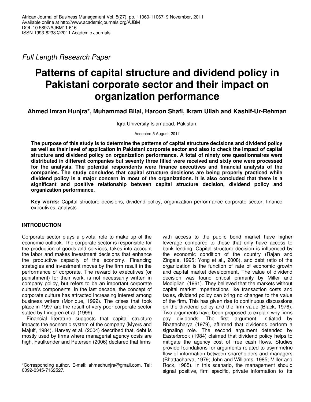Full Length Research Paper

## **Patterns of capital structure and dividend policy in Pakistani corporate sector and their impact on organization performance**

**Ahmed Imran Hunjra\*, Muhammad Bilal, Haroon Shafi, Ikram Ullah and Kashif-Ur-Rehman** 

Iqra University Islamabad, Pakistan.

Accepted 5 August, 2011

**The purpose of this study is to determine the patterns of capital structure decisions and dividend policy as well as their level of application in Pakistani corporate sector and also to check the impact of capital structure and dividend policy on organization performance. A total of ninety one questionnaires were distributed in different companies but seventy three filled were received and sixty one were processed for the analysis. The potential respondents were finance executives and financial analysts of the companies. The study concludes that capital structure decisions are being properly practiced while dividend policy is a major concern in most of the organizations. It is also concluded that there is a significant and positive relationship between capital structure decision, dividend policy and organization performance.** 

**Key words:** Capital structure decisions, dividend policy, organization performance corporate sector, finance executives, analysts.

## **INTRODUCTION**

Corporate sector plays a pivotal role to make up of the economic outlook. The corporate sector is responsible for the production of goods and services, takes into account the labor and makes investment decisions that enhance the productive capacity of the economy. Financing strategies and investment moves by the firm result in the performance of corporate. The reward to executives (or punishment) for their work, is not necessarily written in company policy, but refers to be an important corporate culture's components. In the last decade, the concept of corporate culture has attracted increasing interest among business writers (Monique, 1992). The crises that took place in 1997 are the result of very poor corporate sector stated by Lindgren et al. (1999).

Financial literature suggests that capital structure impacts the economic system of the company (Myers and Majulf, 1984). Harvey et al. (2004) described that, debt is mostly used by firms where managerial agency costs are high. Faulkender and Petersen (2006) declared that firms

with access to the public bond market have higher leverage compared to those that only have access to bank lending. Capital structure decision is influenced by the economic condition of the country (Rajan and Zingale, 1995; Yong et al., 2008), and debt ratio of the organization is the function of rate of economic growth and capital market development. The value of dividend decision was found critical primarily by Miller and Modigliani (1961). They believed that the markets without capital market imperfections like transaction costs and taxes, dividend policy can bring no changes to the value of the firm. This has given rise to continuous discussions on the dividend policy and the firm value (Black, 1976). Two arguments have been proposed to explain why firms pay dividends. The first argument, initiated by Bhattacharya (1979), affirmed that dividends perform a signaling role. The second argument defended by Easterbrook (1984) claimed that dividend policy helps to mitigate the agency cost of free cash flows. Studies provide foundations for arguments related to asymmetric flow of information between shareholders and managers (Bhattacharya, 1979; John and Williams, 1985; Miller and Rock, 1985). In this scenario, the management should signal positive, firm specific, private information to its

<sup>\*</sup>Corresponding author. E-mail: ahmedhunjra@gmail.com. Tel: 0092-0345-7162527.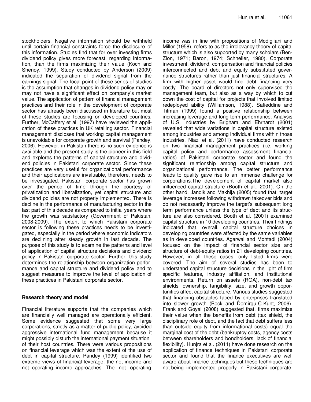stockholders. Negative information should be withheld until certain financial constraints force the disclosure of this information. Studies find that for over investing firms dividend policy gives more forecast, regarding information, than the firms maximizing their value (Koch and Shenoy, 1999). Study conducted by Anderson (2009) indicated the separation of dividend signal from the earnings signal. The focal point of these series of studies is the assumption that changes in dividend policy may or may not have a significant effect on company's market value. The application of pattern of financial management practices and their role in the development of corporate sector has already been discussed in literature but most of these studies are focusing on developed countries. Further, McCaffery et al. (1997) have reviewed the application of these practices in UK retailing sector. Financial management discloses that working capital management is unavoidable for corporate growth and survival (Pandey, 2006). However, in Pakistan there is no such evidence is available and the present study is the pioneer in this field and explores the patterns of capital structure and dividend policies in Pakistani corporate sector. Since these practices are very useful for organizational performance and their applications are invaluable, therefore, needs to be investigated. Pakistani corporate sector has grown over the period of time through the courtesy of privatization and liberalization, yet capital structure and dividend policies are not properly implemented. There is decline in the performance of manufacturing sector in the last part of this decade as compared to initial years where the growth was satisfactory (Government of Pakistan, 2008-2009). The extent to which Pakistani corporate sector is following these practices needs to be investigated, especially in the period where economic indicators are declining after steady growth in last decade. The purpose of this study is to examine the patterns and level of application of capital structure decisions and dividend policy in Pakistani corporate sector. Further, this study determines the relationship between organization performance and capital structure and dividend policy and to suggest measures to improve the level of application of these practices in Pakistani corporate sector.

#### **Research theory and model**

Financial literature supports that the companies which are financially well managed are operationally efficient. Some evidence suggested that some very large corporations, strictly as a matter of public policy, avoided aggressive international fund management because it might possibly disturb the international payment situation of their host countries. There were various propositions on financial leverage which was the extent of the use of debt in capital structure; Pandey (1999) identified two extreme views of financial leverage: the net income and net operating income approaches. The net operating

income was in line with propositions of Modigliani and Miller (1958), refers to as the irrelevancy theory of capital structure which is also supported by many scholars (Ben-Zion, 1971; Baron, 1974; Schneller, 1980). Corporate investment, dividend, compensation and financial policies interconnected and debt and equity substituted governance structures rather than just financial structures. A firm with higher asset would find debt financing very costly. The board of directors not only supervised the management team, but also as a way by which to cut down the cost of capital for projects that involved limited redeployed ability (Williamson, 1988). Safieddine and Titman (1999) found a positive relationship between increasing leverage and long term performance. Analysis of U.S. industries by Brigham and Ehrhardt (2001) revealed that wide variations in capital structure existed among industries and among individual firms within those industries. Niazi et al. (2011) have conducted research on two financial management practices (i.e. working capital policy and performance assessment financial ratios) of Pakistani corporate sector and found the significant relationship among capital structure and organizational performance. The better performance leads to quality gave rise to an immense challenge for corporations.The development of capital market also influenced capital structure (Booth et al., 2001). On the other hand, Jandik and Makhija (2005) found that, target leverage increases following withdrawn takeover bids and do not necessarily improve the target's subsequent long term performance unless the type of debt and its structure are also considered. Booth et al. (2001) examined capital structure in 10 developing countries. Their findings indicated that, overall, capital structure choices in developing countries were affected by the same variables as in developed countries. Agarwal and Mohtadi (2004) focused on the impact of financial sector size and structure of debt-equity ratios in 21 developing countries. However, in all these cases, only listed firms were covered. The aim of several studies has been to understand capital structure decisions in the light of firm specific features, industry affiliation, and institutional environments. Return on assets (ROA), non-debt tax shields, ownership, tangibility, size, and growth opportunities affect capital structure. Various studies suggested that financing obstacles faced by enterprises translated into slower growth (Beck and Demirgu-C-Kunt, 2006). Frank and Goyal (2008) suggested that, firms maximize their value when the benefits from debt (tax shield, the disciplinary role of debt, and the fact that debt suffers less than outside equity from informational costs) equal the marginal cost of the debt (bankruptcy costs, agency costs between shareholders and bondholders, lack of financial flexibility). Hunjra et al. (2011) have done research on the application of finance techniques in Pakistani corporate sector and found that the finance executives are well aware about finance techniques but these techniques are not being implemented properly in Pakistani corporate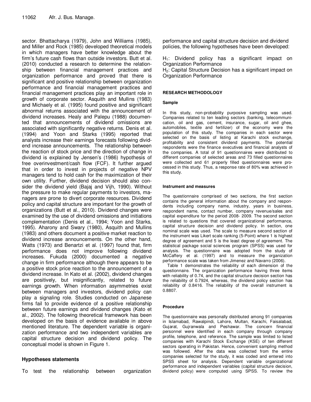sector. Bhattacharya (1979), John and Williams (1985), and Miller and Rock (1985) developed theoretical models in which managers have better knowledge about the firm's future cash flows than outside investors. Butt et al. (2010) conducted a research to determine the relationship between financial management practices and organization performance and proved that there is significant and positive relationship between organization performance and financial management practices and financial management practices play an important role in growth of corporate sector. Asquith and Mullins (1983) and Michaely et al. (1995) found positive and significant abnormal returns associated with the announcement of dividend increases. Healy and Palepu (1988) documented that announcements of dividend omissions are associated with significantly negative returns. Denis et al. (1994) and Yoon and Starks (1995) reported that analysts increase their earnings forecasts following dividend increase announcements. The relationship between the reaction of stock price and the direction of change in dividend is explained by Jensen's (1986) hypothesis of free overinvestment/cash flow (FCF). It further argued that in order to invest in projects of negative NPV managers tend to hold cash for the maximization of their own utility. Further, dividend decision should also consider the dividend yield (Bajaj and Vijh, 1990). Without the pressure to make regular payments to investors, managers are prone to divert corporate resources. Dividend policy and capital structure are important for the growth of organizations (Butt et al., 2010). Dividend changes were examined by the use of dividend omissions and initiations complementation (Denis et al., 1994; Yoon and Starks, 1995). Aharony and Swary (1980), Asquith and Mullins (1983) and others document a positive market reaction to dividend increase announcements. On the other hand, Watts (1973) and Benartzi et al. (1997) found that, firm performance does not improve following dividend increases. Fukuda (2000) documented a negative change in firm performance although there appears to be a positive stock price reaction to the announcement of a dividend increase. In Kato et al. (2002), dividend changes are positively, but insignificantly, related to future earnings growth. When information asymmetries exist between managers and investors, dividend policy can play a signaling role. Studies conducted on Japanese firms fail to provide evidence of a positive relationship between future earnings and dividend changes (Kato et al., 2002). The following theoretical framework has been developed on the basis of evidence available in above mentioned literature. The dependent variable is organization performance and two independent variables are capital structure decision and dividend policy. The conceptual model is shown in Figure 1.

## **Hypotheses statements**

To test the relationship between organization

performance and capital structure decision and dividend policies, the following hypotheses have been developed:

 $H_1$ : Dividend policy has a significant impact on Organization Performance

H<sub>2</sub>: Capital Structure Decision has a significant impact on Organization Performance

#### **RESEARCH METHODOLOGY**

#### **Sample**

In this study, non-probability purposive sampling was used. Companies related to ten leading sectors (banking, telecommunication, oil and gas, cement, insurance, sugar, oil and ghee, automobiles, textile and fertilizer) of the economy were the population of this study. The companies in each sector were selected on the basis of listing at Karachi stock exchange, profitability and consistent dividend payments. The potential respondents were the finance executives and financial analysts of the companies. A total of 91 questionnaires were distributed to different companies of selected areas and 73 filled questionnaires were collected and 61 properly filled questionnaires were processed in this study. Thus, a response rate of 80% was achieved in this study.

#### **Instrument and measures**

The questionnaire comprised of two sections, the first section contains the general information about the company and respondents including company name, industry, years in business, respondent name, contact number, company revenue/sales and capital expenditure for the period 2008- 2009. The second section is related to questions that covered organizational performance, capital structure decision and dividend policy. In section, one nominal scale was used. The scale to measure second section of the instrument was Likert scale ranking (5-Point) where 1 is highest degree of agreement and 5 is the least degree of agreement. The statistical package social sciences program (SPSS) was used for analysis. The questionnaire was adopted from the study of McCaffery et al. (1997) and to measure the organization performance scale was taken from Jimenez and Navarro (2006).

Table 1 demonstrates the reliability of each dimension of the questionnaire. The organization performance having three items with reliability of 0.74, and the capital structure decision section has the reliability of 0.7924, whereas, the dividend policy section has reliability of 0.8416. The reliability of the overall instrument is 0.8807.

#### **Procedure**

The questionnaire was personally distributed among 91 companies in Islamabad, Rawalpindi, Lahore, Multan, Karachi, Faisalabad, Gujarat, Gujranwala and Peshawar. The concern financial personnel were identified in each company through company profile, telephone, and reference. The sample was limited to listed companies with Karachi Stock Exchange (KSE) of ten different sectors operating in Pakistan. Hence, convenient sampling method was followed. After the data was collected from the entire companies selected for the study, it was coded and entered into SPSS sheet for analysis. Dependent variable organizational performance and independent variables (capital structure decision, dividend policy) were computed using SPSS. To review the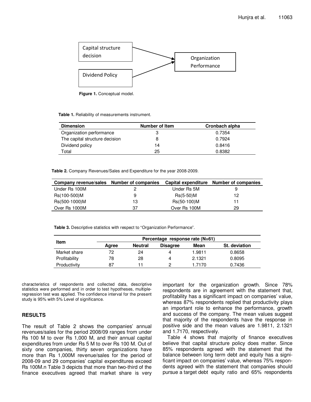

**Figure 1.** Conceptual model.

**Table 1.** Reliability of measurements instrument.

| <b>Dimension</b>               | Number of Item | Cronbach alpha |
|--------------------------------|----------------|----------------|
| Organization performance       |                | 0.7354         |
| The capital structure decision |                | 0.7924         |
| Dividend policy                | 14             | 0.8416         |
| Total                          | 25             | 0.8382         |

**Table 2.** Company Revenues/Sales and Expenditure for the year 2008-2009.

| Company revenue/sales | Number of companies |              | Capital expenditure Number of companies |
|-----------------------|---------------------|--------------|-----------------------------------------|
| Under Rs 100M         |                     | Under Rs 5M  |                                         |
| Rs(100-500)M          | 9                   | $Rs(5-50)M$  | 12                                      |
| Rs(500-1000)M         | 13                  | Rs(50-100)M  |                                         |
| Over Rs 1000M         | 37                  | Over Rs 100M | 29                                      |

**Table 3.** Descriptive statistics with respect to "Organization Performance".

|               | Percentage response rate $(N=61)$ |                |                 |        |               |  |  |
|---------------|-----------------------------------|----------------|-----------------|--------|---------------|--|--|
| Item          | Agree                             | <b>Neutral</b> | <b>Disagree</b> | Mean   | St. deviation |  |  |
| Market share  | 72                                | 24             | 4               | 1.9811 | 0.8658        |  |  |
| Profitability | 78                                | 28             | 4               | 2.1321 | 0.8095        |  |  |
| Productivity  | 87                                |                |                 | 1.7170 | 0.7436        |  |  |

characteristics of respondents and collected data, descriptive statistics were performed and in order to test hypotheses, multipleregression test was applied. The confidence interval for the present study is 95% with 5% Level of significance.

#### **RESULTS**

The result of Table 2 shows the companies' annual revenues/sales for the period 2008/09 ranges from under Rs 100 M to over Rs 1,000 M, and their annual capital expenditures from under Rs 5 M to over Rs 100 M. Out of sixty one companies, thirty seven organizations have more than Rs 1,000M revenue/sales for the period of 2008-09 and 29 companies' capital expenditures exceed Rs 100M.n Table 3 depicts that more than two-third of the finance executives agreed that market share is very

important for the organization growth. Since 78% respondents are in agreement with the statement that, profitability has a significant impact on companies' value, whereas 87% respondents replied that productivity plays an important role to enhance the performance, growth and success of the company. The mean values suggest that majority of the respondents have the response in positive side and the mean values are 1.9811, 2.1321 and 1.7170, respectively.

Table 4 shows that majority of finance executives believe that capital structure policy does matter. Since 85% respondents agreed with the statement that the balance between long term debt and equity has a significant impact on companies' value, whereas 75% respondents agreed with the statement that companies should pursue a target debt equity ratio and 65% respondents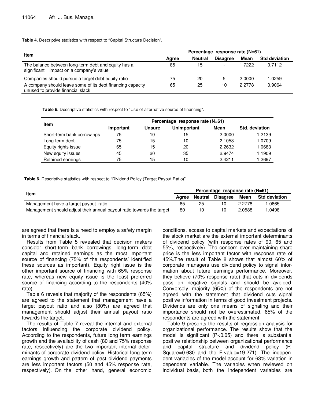#### **Table 4.** Descriptive statistics with respect to "Capital Structure Decision".

|                                                                                                 | Percentage response rate (N=61) |                |                          |        |                      |  |
|-------------------------------------------------------------------------------------------------|---------------------------------|----------------|--------------------------|--------|----------------------|--|
| Item                                                                                            | Agree                           | <b>Neutral</b> | <b>Disagree</b>          | Mean   | <b>Std deviation</b> |  |
| The balance between long-term debt and equity has a<br>significant impact on a company's value  | 85                              | 15             | $\overline{\phantom{a}}$ | .7222  | 0.7112               |  |
| Companies should pursue a target debt equity ratio                                              | 75                              | 20             | 5                        | 2.0000 | 1.0259               |  |
| A company should leave some of its debt financing capacity<br>unused to provide financial slack | 65                              | 25             | 10                       | 2.2778 | 0.9064               |  |

**Table 5.** Descriptive statistics with respect to "Use of alternative source of financing".

|                            | Percentage response rate (N=61) |               |                    |        |                |  |  |  |
|----------------------------|---------------------------------|---------------|--------------------|--------|----------------|--|--|--|
| Item                       | Important                       | <b>Unsure</b> | <b>Unimportant</b> | Mean   | Std. deviation |  |  |  |
| Short-term bank borrowings | 75                              | 10            | 15                 | 2.0000 | 1.2139         |  |  |  |
| Long-term debt             | 75                              | 15            | 10                 | 2.1053 | 1.0709         |  |  |  |
| Equity rights issue        | 65                              | 15            | 20                 | 2.2632 | 1.0683         |  |  |  |
| New equity issues          | 45                              | 20            | 35                 | 2.9474 | 1.1909         |  |  |  |
| Retained earnings          | 75                              | 15            | 10                 | 2.4211 | 2697. ا        |  |  |  |

**Table 6.** Descriptive statistics with respect to "Dividend Policy (Target Payout Ratio)".

|                                                                       |       | Percentage response rate (N=61) |          |        |                      |  |  |
|-----------------------------------------------------------------------|-------|---------------------------------|----------|--------|----------------------|--|--|
| Item                                                                  | Aaree | Neutral                         | Disagree | Mean   | <b>Std deviation</b> |  |  |
| Management have a target payout ratio                                 | 65    | 25                              | 10       | 2.2778 | .0665                |  |  |
| Management should adjust their annual payout ratio towards the target | 80    | 10                              |          | 2.0588 | .0498                |  |  |

are agreed that there is a need to employ a safety margin in terms of financial slack.

Results from Table 5 revealed that decision makers consider short-term bank borrowings, long-term debt capital and retained earnings as the most important source of financing (75% of the respondents' identified these sources as important). Equity right issue is the other important source of financing with 65% response rate, whereas new equity issue is the least preferred source of financing according to the respondents (40% rate).

Table 6 reveals that majority of the respondents (65%) are agreed to the statement that management have a target payout ratio and also (80%) are agreed that management should adjust their annual payout ratio towards the target.

The results of Table 7 reveal the internal and external factors influencing the corporate dividend policy. According to the respondents, future long term earnings growth and the availability of cash (80 and 75% response rate, respectively) are the two important internal determinants of corporate dividend policy. Historical long term earnings growth and pattern of past dividend payments are less important factors (50 and 45% response rate, respectively). On the other hand, general economic

conditions, access to capital markets and expectations of the stock market are the external important determinants of dividend policy (with response rates of 90, 65 and 55%, respectively). The concern over maintaining share price is the less important factor with response rate of 45%.The result of Table 8 shows that almost 60% of corporate managers use dividend policy to signal information about future earnings performance. Moreover, they believe (70% response rate) that cuts in dividends pass on negative signals and should be avoided. Conversely, majority (65%) of the respondents are not agreed with the statement that dividend cuts signal positive information in terms of good investment projects. Dividends are only one means of signaling and their importance should not be overestimated, 65% of the respondents are agreed with the statement.

Table 9 presents the results of regression analysis for organizational performance. The results show that the model is significant (P<0.05) and there is substantial positive relationship between organizational performance and capital structure and dividend policy (R-Square=0.630 and the F-value=19.271). The independent variables of the model account for 63% variation in dependent variable. The variables when reviewed on individual basis, both the independent variables are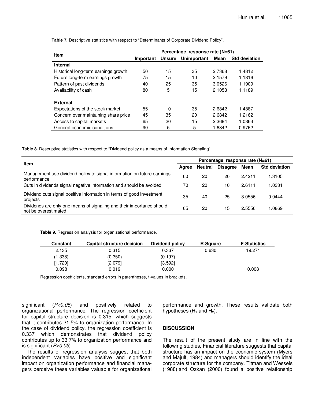| <b>Item</b>                          | Percentage response rate (N=61) |               |             |        |                      |  |  |
|--------------------------------------|---------------------------------|---------------|-------------|--------|----------------------|--|--|
|                                      | Important                       | <b>Unsure</b> | Unimportant | Mean   | <b>Std deviation</b> |  |  |
| <b>Internal</b>                      |                                 |               |             |        |                      |  |  |
| Historical long-term earnings growth | 50                              | 15            | 35          | 2.7368 | 1.4812               |  |  |
| Future long-term earnings growth     | 75                              | 15            | 10          | 2.1579 | 1.1816               |  |  |
| Pattern of past dividends            | 40                              | 25            | 35          | 3.0526 | 1.1909               |  |  |
| Availability of cash                 | 80                              | 5             | 15          | 2.1053 | 1.1189               |  |  |
| <b>External</b>                      |                                 |               |             |        |                      |  |  |
| Expectations of the stock market     | 55                              | 10            | 35          | 2.6842 | 1.4887               |  |  |
| Concern over maintaining share price | 45                              | 35            | 20          | 2.6842 | 1.2162               |  |  |
| Access to capital markets            | 65                              | 20            | 15          | 2.3684 | 1.0863               |  |  |
| General economic conditions          | 90                              | 5             | 5           | 1.6842 | 0.9762               |  |  |

**Table 7.** Descriptive statistics with respect to "Determinants of Corporate Dividend Policy".

**Table 8.** Descriptive statistics with respect to "Dividend policy as a means of Information Signaling".

| <b>Item</b>                                                                                   |       | Percentage response rate (N=61) |                 |        |                      |  |
|-----------------------------------------------------------------------------------------------|-------|---------------------------------|-----------------|--------|----------------------|--|
|                                                                                               | Aaree | Neutral                         | <b>Disagree</b> | Mean   | <b>Std deviation</b> |  |
| Management use dividend policy to signal information on future earnings<br>performance        | 60    | 20                              | 20              | 2.4211 | 1.3105               |  |
| Cuts in dividends signal negative information and should be avoided                           | 70    | 20                              | 10              | 2.6111 | 1.0331               |  |
| Dividend cuts signal positive information in terms of good investment<br>projects             | 35    | 40                              | 25              | 3.0556 | 0.9444               |  |
| Dividends are only one means of signaling and their importance should<br>not be overestimated | 65    | 20                              | 15              | 2.5556 | 1.0869               |  |

**Table 9.** Regression analysis for organizational performance.

| Constant | Capital structure decision | Dividend policy | <b>R-Square</b> | <b>F-Statistics</b> |
|----------|----------------------------|-----------------|-----------------|---------------------|
| 2.135    | 0.315                      | 0.337           | 0.630           | 19.271              |
| (1.338)  | (0.350)                    | (0.197)         |                 |                     |
| [1.720]  | [2.079]                    | [3.592]         |                 |                     |
| 0.098    | 0.019                      | 0.000           |                 | 0.008               |

Regression coefficients, standard errors in parentheses, t-values in brackets.

significant  $(P<0.05)$  and positively related to organizational performance. The regression coefficient for capital structure decision is 0.315, which suggests that it contributes 31.5% to organization performance. In the case of dividend policy, the regression coefficient is 0.337 which demonstrates that dividend policy contributes up to 33.7% to organization performance and is significant  $(P<0.05)$ .

The results of regression analysis suggest that both independent variables have positive and significant impact on organization performance and financial managers perceive these variables valuable for organizational

performance and growth. These results validate both hypotheses  $(H_1$  and  $H_2$ ).

#### **DISCUSSION**

The result of the present study are in line with the following studies, Financial literature suggests that capital structure has an impact on the economic system (Myers and Majulf, 1984) and managers should identify the ideal corporate structure for the company. Titman and Wessels (1988) and Ozkan (2000) found a positive relationship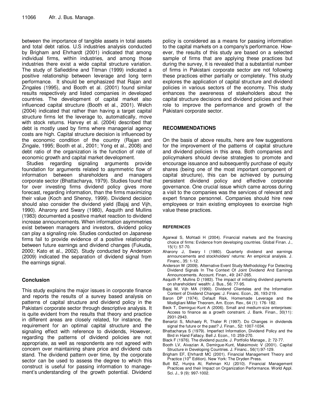between the importance of tangible assets in total assets and total debt ratios. U.S industries analysis conducted by Brigham and Ehrhardt (2001) indicated that among individual firms, within industries, and among those industries there exist a wide capital structure variation. The study of Safieddine and Titman (1999) indicated a positive relationship between leverage and long term performance. It should be emphasized that Rajan and Zingales (1995), and Booth et al. (2001) found similar results respectively and listed companies in developed countries. The development of capital market also influenced capital structure (Booth et al., 2001). Welch (2004) indicated that rather than having a target capital structure firms let the leverage to, automatically, move with stock returns. Harvey et al. (2004) described that debt is mostly used by firms where managerial agency costs are high. Capital structure decision is influenced by the economic condition of the country (Rajan and Zingale, 1995; Booth et al., 2001; Yong et al., 2008) and debt ratio of the organization is the function of rate of economic growth and capital market development.

Studies regarding signaling arguments provide foundation for arguments related to asymmetric flow of information between shareholders and managers corporate sector (Bhattacharya, 1979). Studies found that for over investing firms dividend policy gives more forecast, regarding information, than the firms maximizing their value (Koch and Shenoy, 1999). Dividend decision should also consider the dividend yield (Bajaj and Vijh, 1990). Aharony and Swary (1980), Asquith and Mullins (1983) documented a positive market reaction to dividend increase announcements. When information asymmetries exist between managers and investors, dividend policy can play a signaling role. Studies conducted on Japanese firms fail to provide evidence of a positive relationship between future earnings and dividend changes (Fukuda, 2000; Kato et al., 2002). Study conducted by Anderson (2009) indicated the separation of dividend signal from the earnings signal.

## **Conclusion**

This study explains the major issues in corporate finance and reports the results of a survey based analysis on patterns of capital structure and dividend policy in the Pakistani corporate sector through descriptive analysis. It is quite evident from the results that theory and practice in different areas are closely related, for instance, the requirement for an optimal capital structure and the signaling effect with reference to dividends, However, regarding the patterns of dividend policies are not appropriate, as well as respondents are not agreed with concern over maintaining share price and dividend cuts stand. The dividend pattern over time, by the corporate sector can be used to assess the degree to which this construct is useful for passing information to management's understanding of the growth potential. Dividend

policy is considered as a means for passing information to the capital markets on a company's performance. However, the results of this study are based on a selected sample of firms that are applying these practices but during the survey, it is revealed that a substantial number of firms in Pakistani corporate sector are not following these practices either partially or completely. This study explores the application of capital structure and dividend policies in various sectors of the economy. This study enhances the awareness of stakeholders about the capital structure decisions and dividend policies and their role to improve the performance and growth of the Pakistani corporate sector.

## **RECOMMENDATIONS**

On the basis of above results, here are few suggestions for the improvement of the patterns of capital structure and dividend policies in this area. Both companies and policymakers should devise strategies to promote and encourage issuance and subsequently purchase of equity shares (being one of the most important component of capital structure), this can be achieved by pursuing persistent dividend policy and effective corporate governance. One crucial issue which came across during a visit to the companies was the services of relevant and expert finance personnel. Companies should hire new employees or train existing employees to exercise high value these practices.

#### **REFERENCES**

- Agarwal S, Mohtadi H (2004). Financial markets and the financing choice of firms: Evidence from developing countries. Global Finan. J., 15(1): 57-70.
- Aharony J, Swary I (1980). Quarterly dividend and earnings announcements and stockholders' returns: An empirical analysis. J. Financ., 35: 1-12.
- Anderson W (2009). Alternative Event Study Methodology For Detecting Dividend Signals In The Context Of Joint Dividend And Earnings Announcements. Account. Finan., 49: 247-265.
- Asquith P, Mullins D (1983). The impact of initiating dividend payments on shareholders' wealth: J. Bus., 56: 77-95.
- Bajaj M, Vijh MA (1990). Dividend Clienteles and the Information Content of Dividend Changes: J. Financ. Econ., 26, 193-219.
- Baron DP (1974). Default Risk, Homemade Leverage and the Modigliani Miller Theorem, Am. Econ. Rev., 64 (1): 176- 182.
- Beck T, Demirguc-Kunt A (2006). Small and medium-size enterprises: Access to finance as a growth constraint. J. Bank. Finan., 30(11): 2931-2943.
- Benartzi S, Michaely R, Thaler R (1997). Do Changes in dividends signal the future or the past? J. Finan., 52: 1007-1034.
- Bhattacharya S (1979). Imperfect Information, Dividend Policy and the Bird in Hand Fallacy. Bell J. Econ., 10: 259-270.
- Black F (1976). The dividend puzzle. J. Portfolio Manage., 2: 72-77.
- Booth LV, Aivazian A, Demirgue-Kunt, Maksimovic V (2001). Capital Structure in Developing Countries. J. Financ., 56(1):97-129.
- Brigham EF, Ehrhardt MC (2001). Financial Management Theory and Practice (10<sup>th</sup> Edition). New York: The Dryden Press.
- Butt BZ, Hunjra AI, Rehman KU (2010). Financial Management Practices and their Impact on Organization Performance. World Appl. Sci. J., 9 (9): 997-1002.